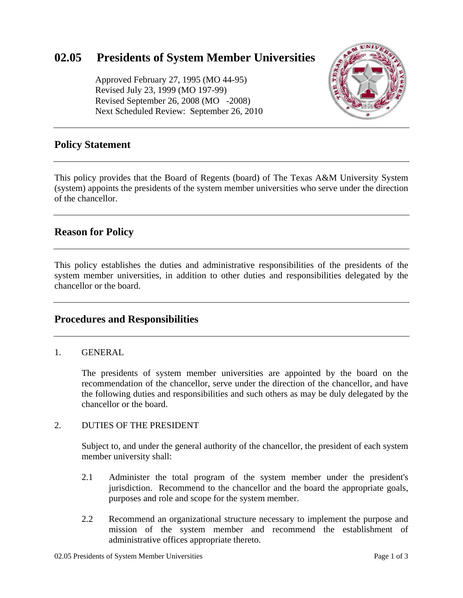# **02.05 Presidents of System Member Universities**

 Approved February 27, 1995 (MO 44-95) Revised July 23, 1999 (MO 197-99) Revised September 26, 2008 (MO -2008) Next Scheduled Review: September 26, 2010



## **Policy Statement**

This policy provides that the Board of Regents (board) of The Texas A&M University System (system) appoints the presidents of the system member universities who serve under the direction of the chancellor.

## **Reason for Policy**

This policy establishes the duties and administrative responsibilities of the presidents of the system member universities, in addition to other duties and responsibilities delegated by the chancellor or the board.

### **Procedures and Responsibilities**

#### 1. GENERAL

The presidents of system member universities are appointed by the board on the recommendation of the chancellor, serve under the direction of the chancellor, and have the following duties and responsibilities and such others as may be duly delegated by the chancellor or the board.

#### 2. DUTIES OF THE PRESIDENT

Subject to, and under the general authority of the chancellor, the president of each system member university shall:

- 2.1 Administer the total program of the system member under the president's jurisdiction. Recommend to the chancellor and the board the appropriate goals, purposes and role and scope for the system member.
- 2.2 Recommend an organizational structure necessary to implement the purpose and mission of the system member and recommend the establishment of administrative offices appropriate thereto.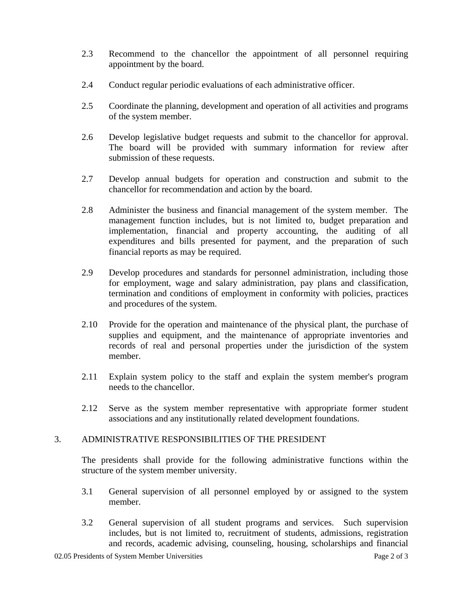- 2.3 Recommend to the chancellor the appointment of all personnel requiring appointment by the board.
- 2.4 Conduct regular periodic evaluations of each administrative officer.
- 2.5 Coordinate the planning, development and operation of all activities and programs of the system member.
- 2.6 Develop legislative budget requests and submit to the chancellor for approval. The board will be provided with summary information for review after submission of these requests.
- 2.7 Develop annual budgets for operation and construction and submit to the chancellor for recommendation and action by the board.
- 2.8 Administer the business and financial management of the system member. The management function includes, but is not limited to, budget preparation and implementation, financial and property accounting, the auditing of all expenditures and bills presented for payment, and the preparation of such financial reports as may be required.
- 2.9 Develop procedures and standards for personnel administration, including those for employment, wage and salary administration, pay plans and classification, termination and conditions of employment in conformity with policies, practices and procedures of the system.
- 2.10 Provide for the operation and maintenance of the physical plant, the purchase of supplies and equipment, and the maintenance of appropriate inventories and records of real and personal properties under the jurisdiction of the system member.
- 2.11 Explain system policy to the staff and explain the system member's program needs to the chancellor.
- 2.12 Serve as the system member representative with appropriate former student associations and any institutionally related development foundations.

#### 3. ADMINISTRATIVE RESPONSIBILITIES OF THE PRESIDENT

The presidents shall provide for the following administrative functions within the structure of the system member university.

- 3.1 General supervision of all personnel employed by or assigned to the system member.
- 3.2 General supervision of all student programs and services. Such supervision includes, but is not limited to, recruitment of students, admissions, registration and records, academic advising, counseling, housing, scholarships and financial